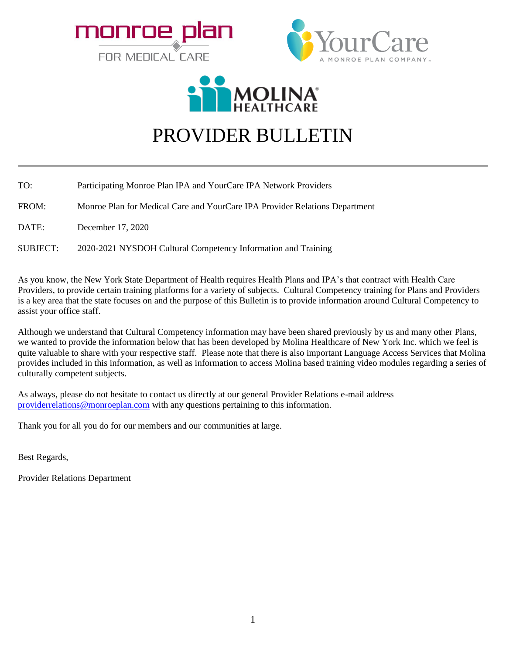





## PROVIDER BULLETIN

TO: Participating Monroe Plan IPA and YourCare IPA Network Providers

FROM: Monroe Plan for Medical Care and YourCare IPA Provider Relations Department

DATE: December 17, 2020

SUBJECT: 2020-2021 NYSDOH Cultural Competency Information and Training

As you know, the New York State Department of Health requires Health Plans and IPA's that contract with Health Care Providers, to provide certain training platforms for a variety of subjects. Cultural Competency training for Plans and Providers is a key area that the state focuses on and the purpose of this Bulletin is to provide information around Cultural Competency to assist your office staff.

Although we understand that Cultural Competency information may have been shared previously by us and many other Plans, we wanted to provide the information below that has been developed by Molina Healthcare of New York Inc. which we feel is quite valuable to share with your respective staff. Please note that there is also important Language Access Services that Molina provides included in this information, as well as information to access Molina based training video modules regarding a series of culturally competent subjects.

As always, please do not hesitate to contact us directly at our general Provider Relations e-mail address [providerrelations@monroeplan.com](mailto:providerrelations@monroeplan.com) with any questions pertaining to this information.

Thank you for all you do for our members and our communities at large.

Best Regards,

Provider Relations Department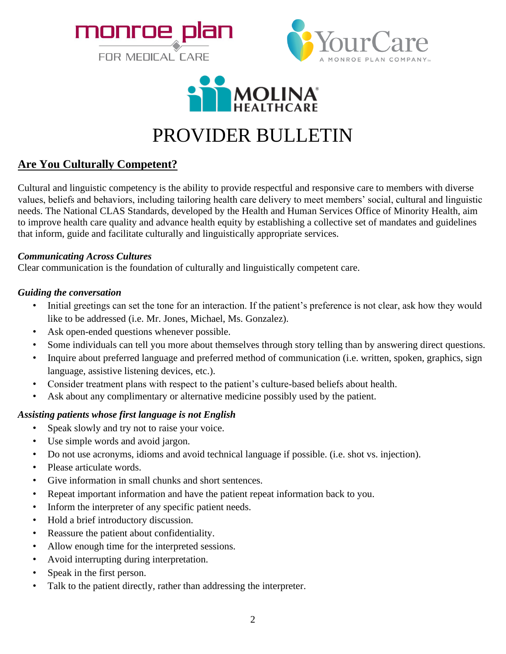





## PROVIDER BULLETIN

## **Are You Culturally Competent?**

Cultural and linguistic competency is the ability to provide respectful and responsive care to members with diverse values, beliefs and behaviors, including tailoring health care delivery to meet members' social, cultural and linguistic needs. The National CLAS Standards, developed by the Health and Human Services Office of Minority Health, aim to improve health care quality and advance health equity by establishing a collective set of mandates and guidelines that inform, guide and facilitate culturally and linguistically appropriate services.

## *Communicating Across Cultures*

Clear communication is the foundation of culturally and linguistically competent care.

## *Guiding the conversation*

- Initial greetings can set the tone for an interaction. If the patient's preference is not clear, ask how they would like to be addressed (i.e. Mr. Jones, Michael, Ms. Gonzalez).
- Ask open-ended questions whenever possible.
- Some individuals can tell you more about themselves through story telling than by answering direct questions.
- Inquire about preferred language and preferred method of communication (i.e. written, spoken, graphics, sign language, assistive listening devices, etc.).
- Consider treatment plans with respect to the patient's culture-based beliefs about health.
- Ask about any complimentary or alternative medicine possibly used by the patient.

## *Assisting patients whose first language is not English*

- Speak slowly and try not to raise your voice.
- Use simple words and avoid jargon.
- Do not use acronyms, idioms and avoid technical language if possible. (i.e. shot vs. injection).
- Please articulate words.
- Give information in small chunks and short sentences.
- Repeat important information and have the patient repeat information back to you.
- Inform the interpreter of any specific patient needs.
- Hold a brief introductory discussion.
- Reassure the patient about confidentiality.
- Allow enough time for the interpreted sessions.
- Avoid interrupting during interpretation.
- Speak in the first person.
- Talk to the patient directly, rather than addressing the interpreter.